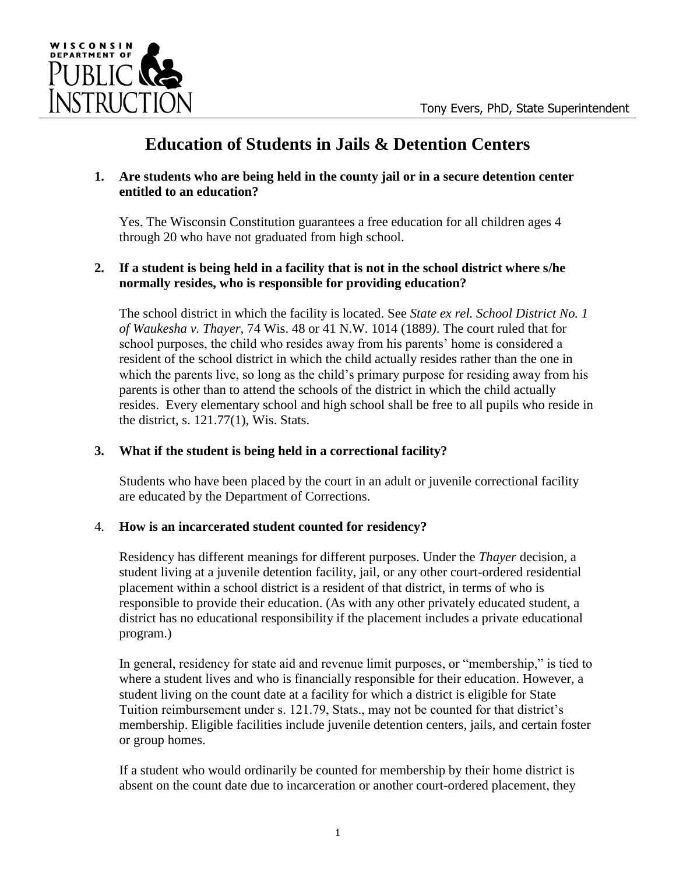

# **Education of Students in Jails & Detention Centers**

## **1. Are students who are being held in the county jail or in a secure detention center entitled to an education?**

Yes. The Wisconsin Constitution guarantees a free education for all children ages 4 through 20 who have not graduated from high school.

# **2. If a student is being held in a facility that is not in the school district where s/he normally resides, who is responsible for providing education?**

The school district in which the facility is located. See *State ex rel. School District No. 1 of Waukesha v. Thayer,* 74 Wis. 48 or 41 N.W. 1014 (1889*)*. The court ruled that for school purposes, the child who resides away from his parents' home is considered a resident of the school district in which the child actually resides rather than the one in which the parents live, so long as the child's primary purpose for residing away from his parents is other than to attend the schools of the district in which the child actually resides. Every elementary school and high school shall be free to all pupils who reside in the district, s. 121.77(1), Wis. Stats.

# **3. What if the student is being held in a correctional facility?**

Students who have been placed by the court in an adult or juvenile correctional facility are educated by the Department of Corrections.

# 4. **How is an incarcerated student counted for residency?**

Residency has different meanings for different purposes. Under the *Thayer* decision, a student living at a juvenile detention facility, jail, or any other court-ordered residential placement within a school district is a resident of that district, in terms of who is responsible to provide their education. (As with any other privately educated student, a district has no educational responsibility if the placement includes a private educational program.)

In general, residency for state aid and revenue limit purposes, or "membership," is tied to where a student lives and who is financially responsible for their education. However, a student living on the count date at a facility for which a district is eligible for State Tuition reimbursement under s. 121.79, Stats., may not be counted for that district's membership. Eligible facilities include juvenile detention centers, jails, and certain foster or group homes.

If a student who would ordinarily be counted for membership by their home district is absent on the count date due to incarceration or another court-ordered placement, they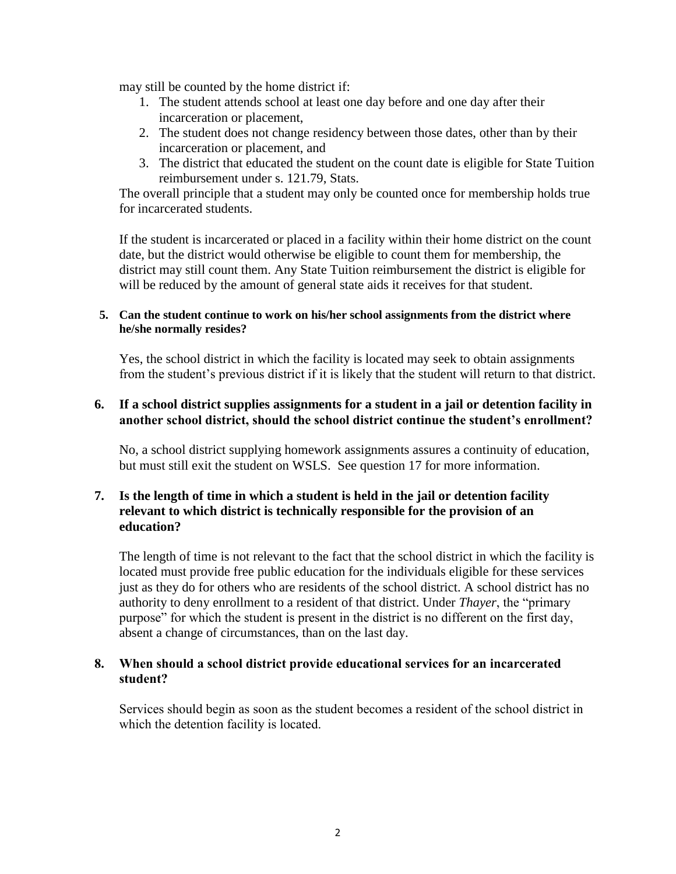may still be counted by the home district if:

- 1. The student attends school at least one day before and one day after their incarceration or placement,
- 2. The student does not change residency between those dates, other than by their incarceration or placement, and
- 3. The district that educated the student on the count date is eligible for State Tuition reimbursement under s. 121.79, Stats.

The overall principle that a student may only be counted once for membership holds true for incarcerated students.

If the student is incarcerated or placed in a facility within their home district on the count date, but the district would otherwise be eligible to count them for membership, the district may still count them. Any State Tuition reimbursement the district is eligible for will be reduced by the amount of general state aids it receives for that student.

#### **5. Can the student continue to work on his/her school assignments from the district where he/she normally resides?**

Yes, the school district in which the facility is located may seek to obtain assignments from the student's previous district if it is likely that the student will return to that district.

## **6. If a school district supplies assignments for a student in a jail or detention facility in another school district, should the school district continue the student's enrollment?**

No, a school district supplying homework assignments assures a continuity of education, but must still exit the student on WSLS. See question 17 for more information.

## **7. Is the length of time in which a student is held in the jail or detention facility relevant to which district is technically responsible for the provision of an education?**

The length of time is not relevant to the fact that the school district in which the facility is located must provide free public education for the individuals eligible for these services just as they do for others who are residents of the school district. A school district has no authority to deny enrollment to a resident of that district. Under *Thayer*, the "primary purpose" for which the student is present in the district is no different on the first day, absent a change of circumstances, than on the last day.

## **8. When should a school district provide educational services for an incarcerated student?**

Services should begin as soon as the student becomes a resident of the school district in which the detention facility is located.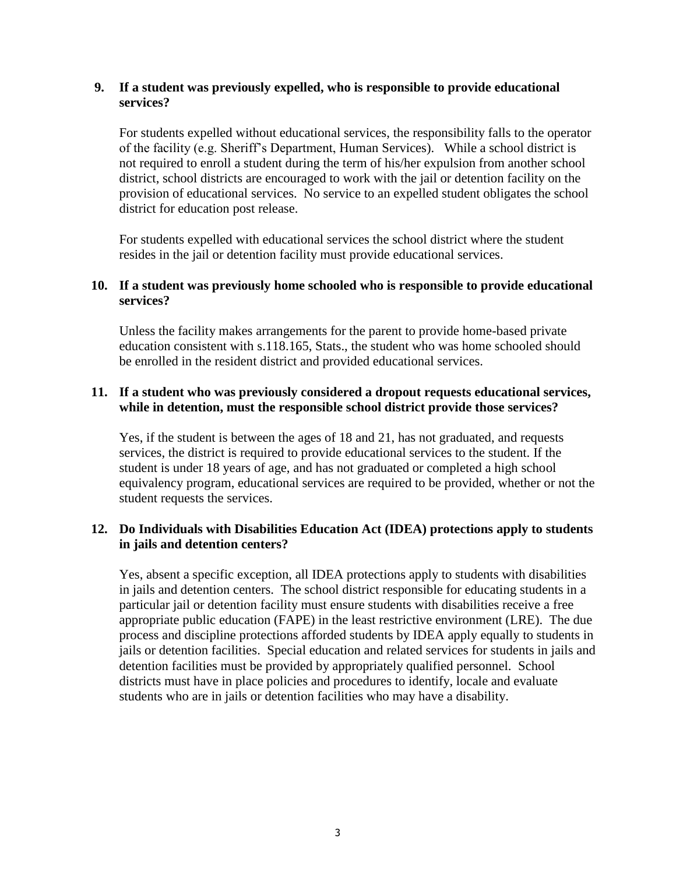## **9. If a student was previously expelled, who is responsible to provide educational services?**

For students expelled without educational services, the responsibility falls to the operator of the facility (e.g. Sheriff's Department, Human Services). While a school district is not required to enroll a student during the term of his/her expulsion from another school district, school districts are encouraged to work with the jail or detention facility on the provision of educational services. No service to an expelled student obligates the school district for education post release.

For students expelled with educational services the school district where the student resides in the jail or detention facility must provide educational services.

## **10. If a student was previously home schooled who is responsible to provide educational services?**

Unless the facility makes arrangements for the parent to provide home-based private education consistent with s.118.165, Stats., the student who was home schooled should be enrolled in the resident district and provided educational services.

## **11. If a student who was previously considered a dropout requests educational services, while in detention, must the responsible school district provide those services?**

Yes, if the student is between the ages of 18 and 21, has not graduated, and requests services, the district is required to provide educational services to the student. If the student is under 18 years of age, and has not graduated or completed a high school equivalency program, educational services are required to be provided, whether or not the student requests the services.

## **12. Do Individuals with Disabilities Education Act (IDEA) protections apply to students in jails and detention centers?**

Yes, absent a specific exception, all IDEA protections apply to students with disabilities in jails and detention centers. The school district responsible for educating students in a particular jail or detention facility must ensure students with disabilities receive a free appropriate public education (FAPE) in the least restrictive environment (LRE). The due process and discipline protections afforded students by IDEA apply equally to students in jails or detention facilities. Special education and related services for students in jails and detention facilities must be provided by appropriately qualified personnel. School districts must have in place policies and procedures to identify, locale and evaluate students who are in jails or detention facilities who may have a disability.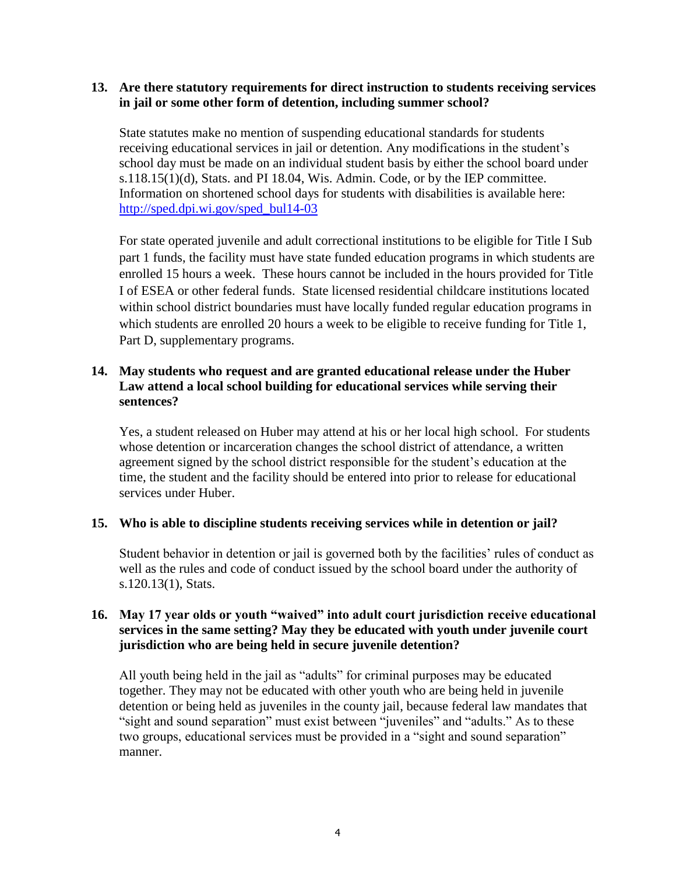#### **13. Are there statutory requirements for direct instruction to students receiving services in jail or some other form of detention, including summer school?**

State statutes make no mention of suspending educational standards for students receiving educational services in jail or detention. Any modifications in the student's school day must be made on an individual student basis by either the school board under  $s.118.15(1)(d)$ , Stats. and PI 18.04, Wis. Admin. Code, or by the IEP committee. Information on shortened school days for students with disabilities is available here: [http://sped.dpi.wi.gov/sped\\_bul14-03](http://sped.dpi.wi.gov/sped_bul14-03)

For state operated juvenile and adult correctional institutions to be eligible for Title I Sub part 1 funds, the facility must have state funded education programs in which students are enrolled 15 hours a week. These hours cannot be included in the hours provided for Title I of ESEA or other federal funds. State licensed residential childcare institutions located within school district boundaries must have locally funded regular education programs in which students are enrolled 20 hours a week to be eligible to receive funding for Title 1, Part D, supplementary programs.

## **14. May students who request and are granted educational release under the Huber Law attend a local school building for educational services while serving their sentences?**

Yes, a student released on Huber may attend at his or her local high school. For students whose detention or incarceration changes the school district of attendance, a written agreement signed by the school district responsible for the student's education at the time, the student and the facility should be entered into prior to release for educational services under Huber.

#### **15. Who is able to discipline students receiving services while in detention or jail?**

Student behavior in detention or jail is governed both by the facilities' rules of conduct as well as the rules and code of conduct issued by the school board under the authority of s.120.13(1), Stats.

## **16. May 17 year olds or youth "waived" into adult court jurisdiction receive educational services in the same setting? May they be educated with youth under juvenile court jurisdiction who are being held in secure juvenile detention?**

All youth being held in the jail as "adults" for criminal purposes may be educated together. They may not be educated with other youth who are being held in juvenile detention or being held as juveniles in the county jail, because federal law mandates that "sight and sound separation" must exist between "juveniles" and "adults." As to these two groups, educational services must be provided in a "sight and sound separation" manner.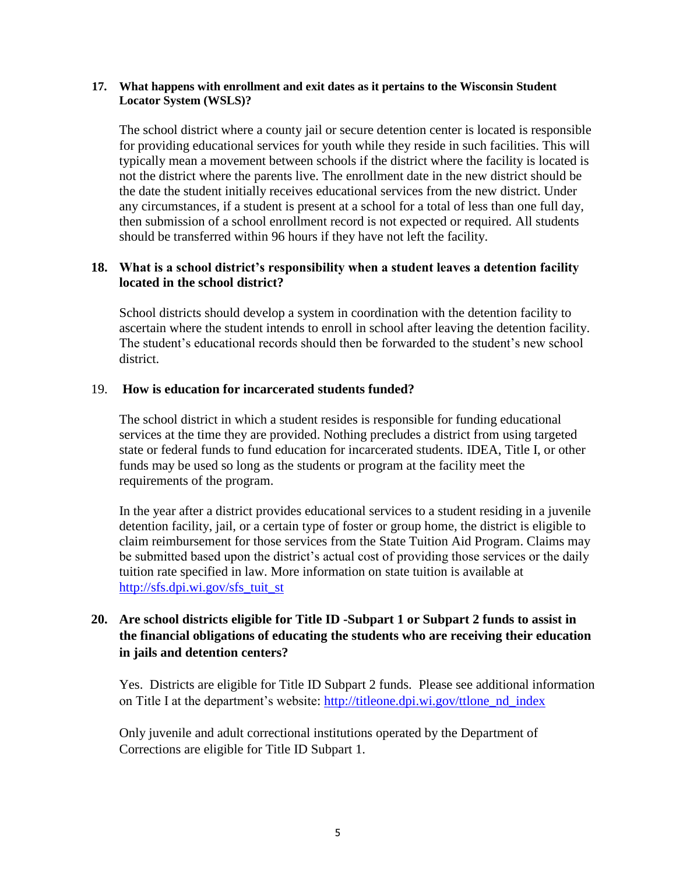#### **17. What happens with enrollment and exit dates as it pertains to the Wisconsin Student Locator System (WSLS)?**

The school district where a county jail or secure detention center is located is responsible for providing educational services for youth while they reside in such facilities. This will typically mean a movement between schools if the district where the facility is located is not the district where the parents live. The enrollment date in the new district should be the date the student initially receives educational services from the new district. Under any circumstances, if a student is present at a school for a total of less than one full day, then submission of a school enrollment record is not expected or required. All students should be transferred within 96 hours if they have not left the facility.

## **18. What is a school district's responsibility when a student leaves a detention facility located in the school district?**

School districts should develop a system in coordination with the detention facility to ascertain where the student intends to enroll in school after leaving the detention facility. The student's educational records should then be forwarded to the student's new school district.

#### 19. **How is education for incarcerated students funded?**

The school district in which a student resides is responsible for funding educational services at the time they are provided. Nothing precludes a district from using targeted state or federal funds to fund education for incarcerated students. IDEA, Title I, or other funds may be used so long as the students or program at the facility meet the requirements of the program.

In the year after a district provides educational services to a student residing in a juvenile detention facility, jail, or a certain type of foster or group home, the district is eligible to claim reimbursement for those services from the State Tuition Aid Program. Claims may be submitted based upon the district's actual cost of providing those services or the daily tuition rate specified in law. More information on state tuition is available at [http://sfs.dpi.wi.gov/sfs\\_tuit\\_st](http://sfs.dpi.wi.gov/sfs_tuit_st)

# **20. Are school districts eligible for Title ID -Subpart 1 or Subpart 2 funds to assist in the financial obligations of educating the students who are receiving their education in jails and detention centers?**

Yes. Districts are eligible for Title ID Subpart 2 funds. Please see additional information on Title I at the department's website: [http://titleone.dpi.wi.gov/ttlone\\_nd\\_index](http://titleone.dpi.wi.gov/ttlone_nd_index)

Only juvenile and adult correctional institutions operated by the Department of Corrections are eligible for Title ID Subpart 1.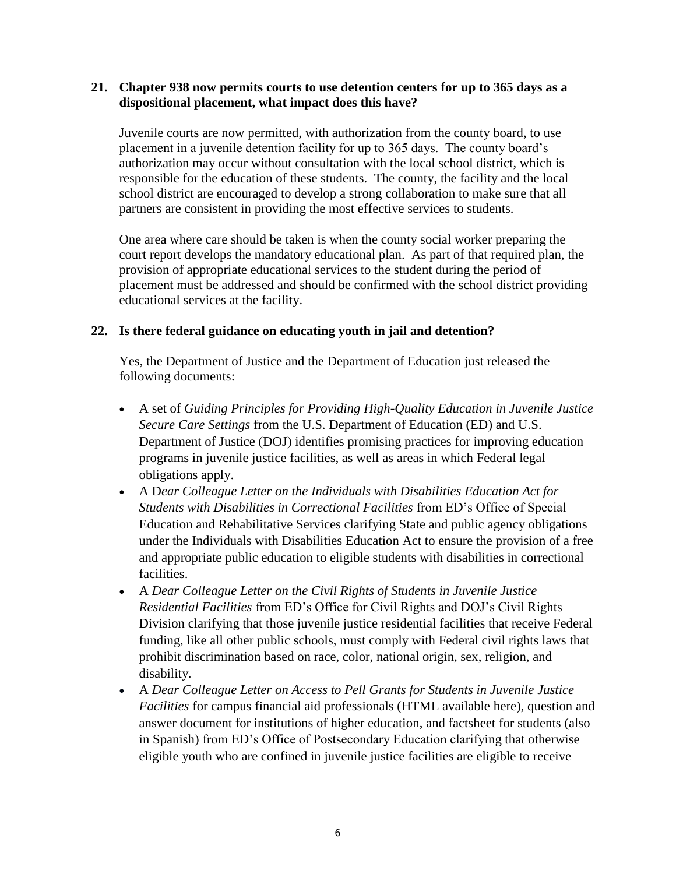#### **21. Chapter 938 now permits courts to use detention centers for up to 365 days as a dispositional placement, what impact does this have?**

Juvenile courts are now permitted, with authorization from the county board, to use placement in a juvenile detention facility for up to 365 days. The county board's authorization may occur without consultation with the local school district, which is responsible for the education of these students. The county, the facility and the local school district are encouraged to develop a strong collaboration to make sure that all partners are consistent in providing the most effective services to students.

One area where care should be taken is when the county social worker preparing the court report develops the mandatory educational plan. As part of that required plan, the provision of appropriate educational services to the student during the period of placement must be addressed and should be confirmed with the school district providing educational services at the facility.

#### **22. Is there federal guidance on educating youth in jail and detention?**

Yes, the Department of Justice and the Department of Education just released the following documents:

- A set of *[Guiding Principles for Providing High-Quality Education in Juvenile Justice](http://www2.ed.gov/policy/gen/guid/correctional-education/guiding-principles.pdf)  [Secure Care Settings](http://www2.ed.gov/policy/gen/guid/correctional-education/guiding-principles.pdf)* from the U.S. Department of Education (ED) and U.S. Department of Justice (DOJ) identifies promising practices for improving education programs in juvenile justice facilities, as well as areas in which Federal legal obligations apply.
- A D*[ear Colleague Letter on the Individuals with Disabilities Education Act for](http://www2.ed.gov/policy/gen/guid/correctional-education/idea-letter.pdf)  [Students with Disabilities in Correctional Facilities](http://www2.ed.gov/policy/gen/guid/correctional-education/idea-letter.pdf)* from ED's Office of Special Education and Rehabilitative Services clarifying State and public agency obligations under the Individuals with Disabilities Education Act to ensure the provision of a free and appropriate public education to eligible students with disabilities in correctional facilities.
- A *[Dear Colleague Letter on the Civil Rights of Students in Juvenile Justice](http://www2.ed.gov/policy/gen/guid/correctional-education/cr-letter.pdf)  [Residential Facilities](http://www2.ed.gov/policy/gen/guid/correctional-education/cr-letter.pdf)* from ED's Office for Civil Rights and DOJ's Civil Rights Division clarifying that those juvenile justice residential facilities that receive Federal funding, like all other public schools, must comply with Federal civil rights laws that prohibit discrimination based on race, color, national origin, sex, religion, and disability.
- A *[Dear Colleague Letter on Access to Pell Grants for Students in Juvenile Justice](http://www2.ed.gov/policy/gen/guid/correctional-education/pell-letter.pdf)  [Facilities](http://www2.ed.gov/policy/gen/guid/correctional-education/pell-letter.pdf)* for campus financial aid professionals (HTML available [here\)](http://ifap.ed.gov/dpcletters/GEN1421.html), [question and](http://ifap.ed.gov/dpcletters/attachments/GEN1421FAQAttachment.pdf)  [answer document for institutions of higher education,](http://ifap.ed.gov/dpcletters/attachments/GEN1421FAQAttachment.pdf) and [factsheet for students](https://studentaid.ed.gov/sites/default/files/aid-info-for-incarcerated-individuals.pdf) (also in [Spanish\)](https://studentaid.ed.gov/sites/default/files/aid-info-for-incarcerated-individuals-spanish.pdf) from ED's Office of Postsecondary Education clarifying that otherwise eligible youth who are confined in juvenile justice facilities are eligible to receive